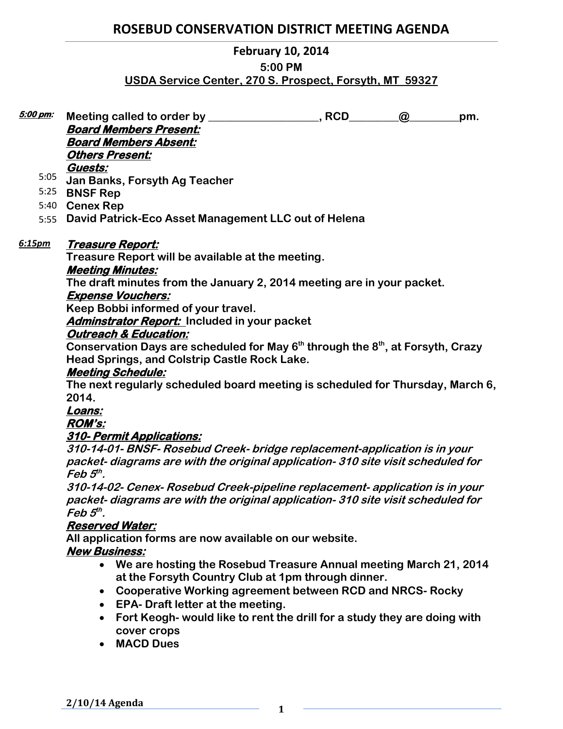## **ROSEBUD CONSERVATION DISTRICT MEETING AGENDA**

### **February 10, 2014**

#### **5:00 PM**

## **USDA Service Center, 270 S. Prospect, Forsyth, MT 59327**

| 5:00 pm: | Meeting called to order by _______                                     | , RCD | $\omega$ | pm. |
|----------|------------------------------------------------------------------------|-------|----------|-----|
|          | <b>Board Members Present:</b>                                          |       |          |     |
|          | <b>Board Members Absent:</b>                                           |       |          |     |
|          | <b>Others Present:</b>                                                 |       |          |     |
|          | Guests:                                                                |       |          |     |
| 5:05     | Jan Banks, Forsyth Ag Teacher                                          |       |          |     |
| 5:25     | <b>BNSF Rep</b>                                                        |       |          |     |
| 5:40     | <b>Cenex Rep</b>                                                       |       |          |     |
| 5:55     | David Patrick-Eco Asset Management LLC out of Helena                   |       |          |     |
| 6:15pm   | Treasure Report:                                                       |       |          |     |
|          | Treasure Report will be available at the meeting.                      |       |          |     |
|          | <b>Meeting Minutes:</b>                                                |       |          |     |
|          | The draft minutes from the January 2, 2014 meeting are in your packet. |       |          |     |
|          | <b>Expense Vouchers:</b>                                               |       |          |     |
|          | Keep Bobbi informed of your travel                                     |       |          |     |

**Keep Bobbi informed of your travel.** 

**Adminstrator Report: Included in your packet** 

## **Outreach & Education:**

**Conservation Days are scheduled for May 6th through the 8th, at Forsyth, Crazy Head Springs, and Colstrip Castle Rock Lake.** 

### **Meeting Schedule:**

**The next regularly scheduled board meeting is scheduled for Thursday, March 6, 2014.** 

### **Loans:**

### **ROM's:**

### **310- Permit Applications:**

**310-14-01- BNSF- Rosebud Creek- bridge replacement-application is in your packet- diagrams are with the original application- 310 site visit scheduled for Feb 5 th .** 

**310-14-02- Cenex- Rosebud Creek-pipeline replacement- application is in your packet- diagrams are with the original application- 310 site visit scheduled for Feb 5 th .**

### **Reserved Water:**

**All application forms are now available on our website.** 

### **New Business:**

- **We are hosting the Rosebud Treasure Annual meeting March 21, 2014 at the Forsyth Country Club at 1pm through dinner.**
- **Cooperative Working agreement between RCD and NRCS- Rocky**
- **EPA- Draft letter at the meeting.**
- **Fort Keogh- would like to rent the drill for a study they are doing with cover crops**
- **MACD Dues**